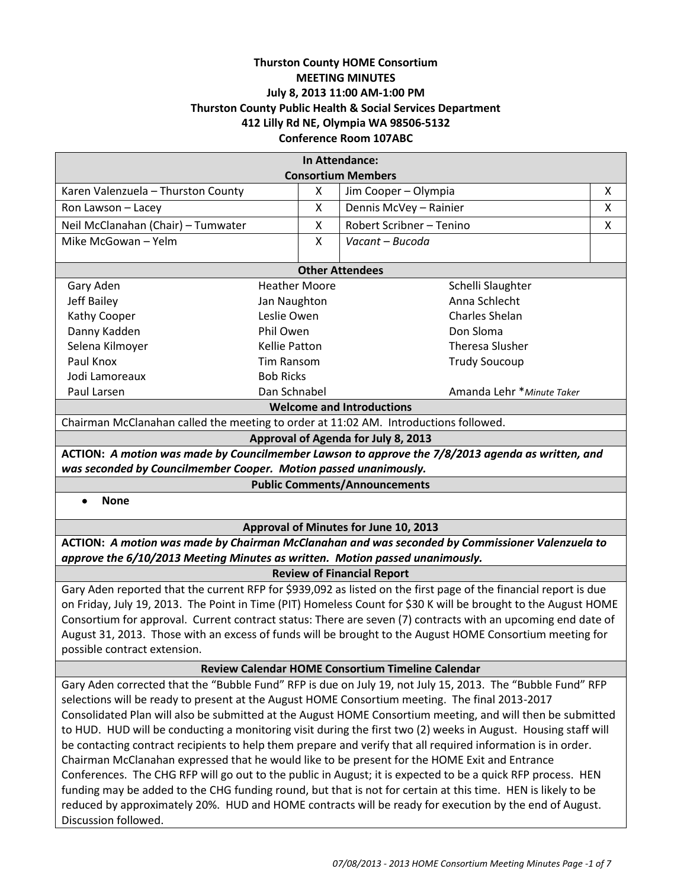# **Thurston County HOME Consortium MEETING MINUTES July 8, 2013 11:00 AM-1:00 PM Thurston County Public Health & Social Services Department 412 Lilly Rd NE, Olympia WA 98506-5132 Conference Room 107ABC**

| In Attendance:                                                                                   |                      |   |                                                                                                                                                                                                              |   |
|--------------------------------------------------------------------------------------------------|----------------------|---|--------------------------------------------------------------------------------------------------------------------------------------------------------------------------------------------------------------|---|
|                                                                                                  |                      |   | <b>Consortium Members</b>                                                                                                                                                                                    |   |
| Karen Valenzuela - Thurston County                                                               | X                    |   | Jim Cooper - Olympia                                                                                                                                                                                         | X |
| Ron Lawson - Lacey                                                                               |                      | X | Dennis McVey - Rainier                                                                                                                                                                                       | X |
| Neil McClanahan (Chair) - Tumwater                                                               |                      | X | Robert Scribner - Tenino                                                                                                                                                                                     | X |
| Mike McGowan - Yelm                                                                              | $\mathsf{x}$         |   | Vacant - Bucoda                                                                                                                                                                                              |   |
|                                                                                                  |                      |   |                                                                                                                                                                                                              |   |
| <b>Other Attendees</b>                                                                           |                      |   |                                                                                                                                                                                                              |   |
| <b>Heather Moore</b><br>Gary Aden                                                                |                      |   | Schelli Slaughter                                                                                                                                                                                            |   |
| Jeff Bailey<br>Jan Naughton                                                                      |                      |   | Anna Schlecht                                                                                                                                                                                                |   |
| Kathy Cooper                                                                                     | Leslie Owen          |   | Charles Shelan                                                                                                                                                                                               |   |
| Danny Kadden                                                                                     | Phil Owen            |   | Don Sloma                                                                                                                                                                                                    |   |
| Selena Kilmoyer                                                                                  | <b>Kellie Patton</b> |   | <b>Theresa Slusher</b>                                                                                                                                                                                       |   |
| Paul Knox                                                                                        | <b>Tim Ransom</b>    |   | <b>Trudy Soucoup</b>                                                                                                                                                                                         |   |
| Jodi Lamoreaux                                                                                   | <b>Bob Ricks</b>     |   |                                                                                                                                                                                                              |   |
| Paul Larsen                                                                                      | Dan Schnabel         |   | Amanda Lehr * Minute Taker                                                                                                                                                                                   |   |
| <b>Welcome and Introductions</b>                                                                 |                      |   |                                                                                                                                                                                                              |   |
| Chairman McClanahan called the meeting to order at 11:02 AM. Introductions followed.             |                      |   |                                                                                                                                                                                                              |   |
| Approval of Agenda for July 8, 2013                                                              |                      |   |                                                                                                                                                                                                              |   |
| ACTION: A motion was made by Councilmember Lawson to approve the 7/8/2013 agenda as written, and |                      |   |                                                                                                                                                                                                              |   |
| was seconded by Councilmember Cooper. Motion passed unanimously.                                 |                      |   |                                                                                                                                                                                                              |   |
|                                                                                                  |                      |   |                                                                                                                                                                                                              |   |
|                                                                                                  |                      |   | <b>Public Comments/Announcements</b>                                                                                                                                                                         |   |
| <b>None</b>                                                                                      |                      |   |                                                                                                                                                                                                              |   |
|                                                                                                  |                      |   | Approval of Minutes for June 10, 2013                                                                                                                                                                        |   |
|                                                                                                  |                      |   | ACTION: A motion was made by Chairman McClanahan and was seconded by Commissioner Valenzuela to                                                                                                              |   |
| approve the 6/10/2013 Meeting Minutes as written. Motion passed unanimously.                     |                      |   |                                                                                                                                                                                                              |   |
|                                                                                                  |                      |   | <b>Review of Financial Report</b>                                                                                                                                                                            |   |
|                                                                                                  |                      |   | Gary Aden reported that the current RFP for \$939,092 as listed on the first page of the financial report is due                                                                                             |   |
|                                                                                                  |                      |   | on Friday, July 19, 2013. The Point in Time (PIT) Homeless Count for \$30 K will be brought to the August HOME                                                                                               |   |
|                                                                                                  |                      |   | Consortium for approval. Current contract status: There are seven (7) contracts with an upcoming end date of                                                                                                 |   |
|                                                                                                  |                      |   | August 31, 2013. Those with an excess of funds will be brought to the August HOME Consortium meeting for                                                                                                     |   |
| possible contract extension.                                                                     |                      |   |                                                                                                                                                                                                              |   |
|                                                                                                  |                      |   | <b>Review Calendar HOME Consortium Timeline Calendar</b>                                                                                                                                                     |   |
|                                                                                                  |                      |   |                                                                                                                                                                                                              |   |
|                                                                                                  |                      |   | Gary Aden corrected that the "Bubble Fund" RFP is due on July 19, not July 15, 2013. The "Bubble Fund" RFP                                                                                                   |   |
|                                                                                                  |                      |   | selections will be ready to present at the August HOME Consortium meeting. The final 2013-2017                                                                                                               |   |
|                                                                                                  |                      |   | Consolidated Plan will also be submitted at the August HOME Consortium meeting, and will then be submitted                                                                                                   |   |
|                                                                                                  |                      |   | to HUD. HUD will be conducting a monitoring visit during the first two (2) weeks in August. Housing staff will                                                                                               |   |
|                                                                                                  |                      |   | be contacting contract recipients to help them prepare and verify that all required information is in order.                                                                                                 |   |
|                                                                                                  |                      |   | Chairman McClanahan expressed that he would like to be present for the HOME Exit and Entrance<br>Conferences. The CHG RFP will go out to the public in August; it is expected to be a quick RFP process. HEN |   |

reduced by approximately 20%. HUD and HOME contracts will be ready for execution by the end of August.

Discussion followed.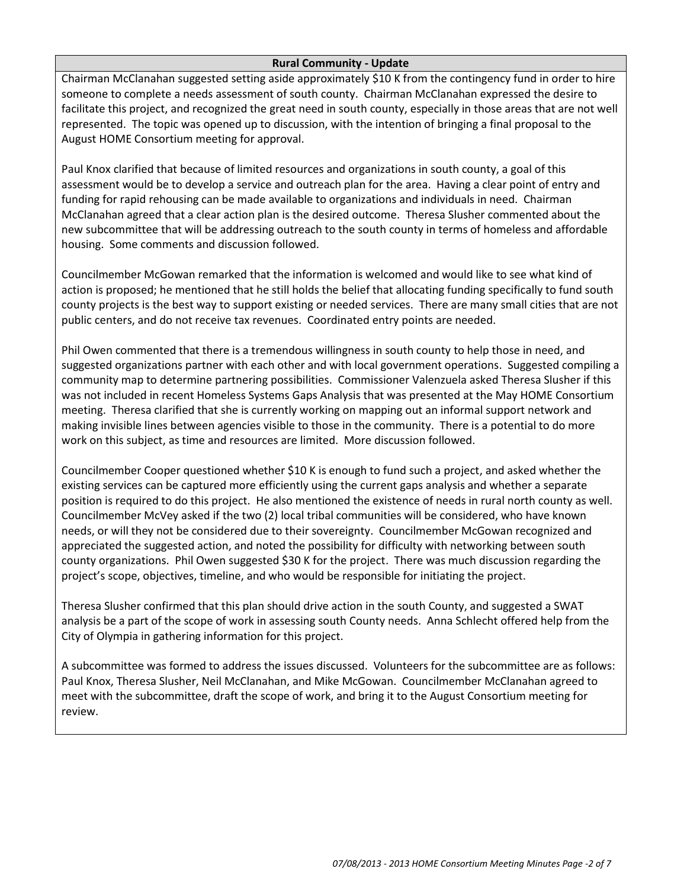### **Rural Community - Update**

Chairman McClanahan suggested setting aside approximately \$10 K from the contingency fund in order to hire someone to complete a needs assessment of south county. Chairman McClanahan expressed the desire to facilitate this project, and recognized the great need in south county, especially in those areas that are not well represented. The topic was opened up to discussion, with the intention of bringing a final proposal to the August HOME Consortium meeting for approval.

Paul Knox clarified that because of limited resources and organizations in south county, a goal of this assessment would be to develop a service and outreach plan for the area. Having a clear point of entry and funding for rapid rehousing can be made available to organizations and individuals in need. Chairman McClanahan agreed that a clear action plan is the desired outcome. Theresa Slusher commented about the new subcommittee that will be addressing outreach to the south county in terms of homeless and affordable housing. Some comments and discussion followed.

Councilmember McGowan remarked that the information is welcomed and would like to see what kind of action is proposed; he mentioned that he still holds the belief that allocating funding specifically to fund south county projects is the best way to support existing or needed services. There are many small cities that are not public centers, and do not receive tax revenues. Coordinated entry points are needed.

Phil Owen commented that there is a tremendous willingness in south county to help those in need, and suggested organizations partner with each other and with local government operations. Suggested compiling a community map to determine partnering possibilities. Commissioner Valenzuela asked Theresa Slusher if this was not included in recent Homeless Systems Gaps Analysis that was presented at the May HOME Consortium meeting. Theresa clarified that she is currently working on mapping out an informal support network and making invisible lines between agencies visible to those in the community. There is a potential to do more work on this subject, as time and resources are limited. More discussion followed.

Councilmember Cooper questioned whether \$10 K is enough to fund such a project, and asked whether the existing services can be captured more efficiently using the current gaps analysis and whether a separate position is required to do this project. He also mentioned the existence of needs in rural north county as well. Councilmember McVey asked if the two (2) local tribal communities will be considered, who have known needs, or will they not be considered due to their sovereignty. Councilmember McGowan recognized and appreciated the suggested action, and noted the possibility for difficulty with networking between south county organizations. Phil Owen suggested \$30 K for the project. There was much discussion regarding the project's scope, objectives, timeline, and who would be responsible for initiating the project.

Theresa Slusher confirmed that this plan should drive action in the south County, and suggested a SWAT analysis be a part of the scope of work in assessing south County needs. Anna Schlecht offered help from the City of Olympia in gathering information for this project.

A subcommittee was formed to address the issues discussed. Volunteers for the subcommittee are as follows: Paul Knox, Theresa Slusher, Neil McClanahan, and Mike McGowan. Councilmember McClanahan agreed to meet with the subcommittee, draft the scope of work, and bring it to the August Consortium meeting for review.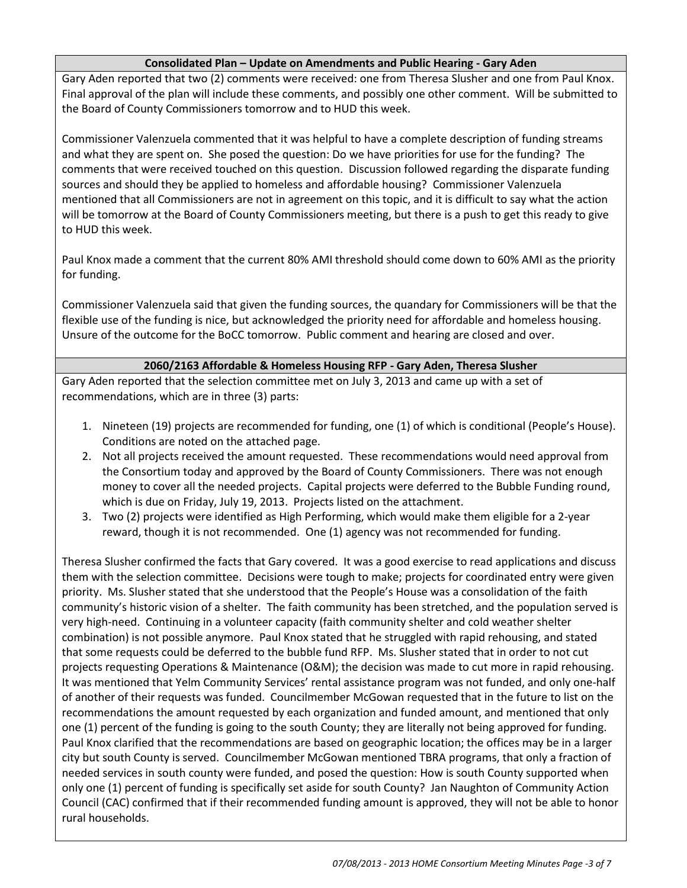## **Consolidated Plan – Update on Amendments and Public Hearing - Gary Aden**

Gary Aden reported that two (2) comments were received: one from Theresa Slusher and one from Paul Knox. Final approval of the plan will include these comments, and possibly one other comment. Will be submitted to the Board of County Commissioners tomorrow and to HUD this week.

Commissioner Valenzuela commented that it was helpful to have a complete description of funding streams and what they are spent on. She posed the question: Do we have priorities for use for the funding? The comments that were received touched on this question. Discussion followed regarding the disparate funding sources and should they be applied to homeless and affordable housing? Commissioner Valenzuela mentioned that all Commissioners are not in agreement on this topic, and it is difficult to say what the action will be tomorrow at the Board of County Commissioners meeting, but there is a push to get this ready to give to HUD this week.

Paul Knox made a comment that the current 80% AMI threshold should come down to 60% AMI as the priority for funding.

Commissioner Valenzuela said that given the funding sources, the quandary for Commissioners will be that the flexible use of the funding is nice, but acknowledged the priority need for affordable and homeless housing. Unsure of the outcome for the BoCC tomorrow. Public comment and hearing are closed and over.

## **2060/2163 Affordable & Homeless Housing RFP - Gary Aden, Theresa Slusher**

Gary Aden reported that the selection committee met on July 3, 2013 and came up with a set of recommendations, which are in three (3) parts:

- 1. Nineteen (19) projects are recommended for funding, one (1) of which is conditional (People's House). Conditions are noted on the attached page.
- 2. Not all projects received the amount requested. These recommendations would need approval from the Consortium today and approved by the Board of County Commissioners. There was not enough money to cover all the needed projects. Capital projects were deferred to the Bubble Funding round, which is due on Friday, July 19, 2013. Projects listed on the attachment.
- 3. Two (2) projects were identified as High Performing, which would make them eligible for a 2-year reward, though it is not recommended. One (1) agency was not recommended for funding.

Theresa Slusher confirmed the facts that Gary covered. It was a good exercise to read applications and discuss them with the selection committee. Decisions were tough to make; projects for coordinated entry were given priority. Ms. Slusher stated that she understood that the People's House was a consolidation of the faith community's historic vision of a shelter. The faith community has been stretched, and the population served is very high-need. Continuing in a volunteer capacity (faith community shelter and cold weather shelter combination) is not possible anymore. Paul Knox stated that he struggled with rapid rehousing, and stated that some requests could be deferred to the bubble fund RFP. Ms. Slusher stated that in order to not cut projects requesting Operations & Maintenance (O&M); the decision was made to cut more in rapid rehousing. It was mentioned that Yelm Community Services' rental assistance program was not funded, and only one-half of another of their requests was funded. Councilmember McGowan requested that in the future to list on the recommendations the amount requested by each organization and funded amount, and mentioned that only one (1) percent of the funding is going to the south County; they are literally not being approved for funding. Paul Knox clarified that the recommendations are based on geographic location; the offices may be in a larger city but south County is served. Councilmember McGowan mentioned TBRA programs, that only a fraction of needed services in south county were funded, and posed the question: How is south County supported when only one (1) percent of funding is specifically set aside for south County? Jan Naughton of Community Action Council (CAC) confirmed that if their recommended funding amount is approved, they will not be able to honor rural households.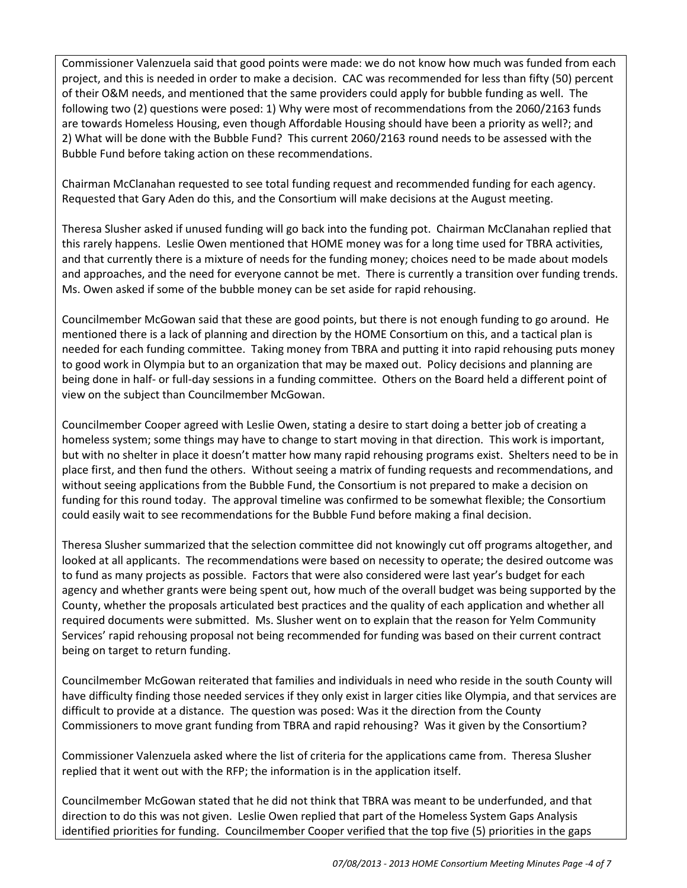Commissioner Valenzuela said that good points were made: we do not know how much was funded from each project, and this is needed in order to make a decision. CAC was recommended for less than fifty (50) percent of their O&M needs, and mentioned that the same providers could apply for bubble funding as well. The following two (2) questions were posed: 1) Why were most of recommendations from the 2060/2163 funds are towards Homeless Housing, even though Affordable Housing should have been a priority as well?; and 2) What will be done with the Bubble Fund? This current 2060/2163 round needs to be assessed with the Bubble Fund before taking action on these recommendations.

Chairman McClanahan requested to see total funding request and recommended funding for each agency. Requested that Gary Aden do this, and the Consortium will make decisions at the August meeting.

Theresa Slusher asked if unused funding will go back into the funding pot. Chairman McClanahan replied that this rarely happens. Leslie Owen mentioned that HOME money was for a long time used for TBRA activities, and that currently there is a mixture of needs for the funding money; choices need to be made about models and approaches, and the need for everyone cannot be met. There is currently a transition over funding trends. Ms. Owen asked if some of the bubble money can be set aside for rapid rehousing.

Councilmember McGowan said that these are good points, but there is not enough funding to go around. He mentioned there is a lack of planning and direction by the HOME Consortium on this, and a tactical plan is needed for each funding committee. Taking money from TBRA and putting it into rapid rehousing puts money to good work in Olympia but to an organization that may be maxed out. Policy decisions and planning are being done in half- or full-day sessions in a funding committee. Others on the Board held a different point of view on the subject than Councilmember McGowan.

Councilmember Cooper agreed with Leslie Owen, stating a desire to start doing a better job of creating a homeless system; some things may have to change to start moving in that direction. This work is important, but with no shelter in place it doesn't matter how many rapid rehousing programs exist. Shelters need to be in place first, and then fund the others. Without seeing a matrix of funding requests and recommendations, and without seeing applications from the Bubble Fund, the Consortium is not prepared to make a decision on funding for this round today. The approval timeline was confirmed to be somewhat flexible; the Consortium could easily wait to see recommendations for the Bubble Fund before making a final decision.

Theresa Slusher summarized that the selection committee did not knowingly cut off programs altogether, and looked at all applicants. The recommendations were based on necessity to operate; the desired outcome was to fund as many projects as possible. Factors that were also considered were last year's budget for each agency and whether grants were being spent out, how much of the overall budget was being supported by the County, whether the proposals articulated best practices and the quality of each application and whether all required documents were submitted. Ms. Slusher went on to explain that the reason for Yelm Community Services' rapid rehousing proposal not being recommended for funding was based on their current contract being on target to return funding.

Councilmember McGowan reiterated that families and individuals in need who reside in the south County will have difficulty finding those needed services if they only exist in larger cities like Olympia, and that services are difficult to provide at a distance. The question was posed: Was it the direction from the County Commissioners to move grant funding from TBRA and rapid rehousing? Was it given by the Consortium?

Commissioner Valenzuela asked where the list of criteria for the applications came from. Theresa Slusher replied that it went out with the RFP; the information is in the application itself.

Councilmember McGowan stated that he did not think that TBRA was meant to be underfunded, and that direction to do this was not given. Leslie Owen replied that part of the Homeless System Gaps Analysis identified priorities for funding. Councilmember Cooper verified that the top five (5) priorities in the gaps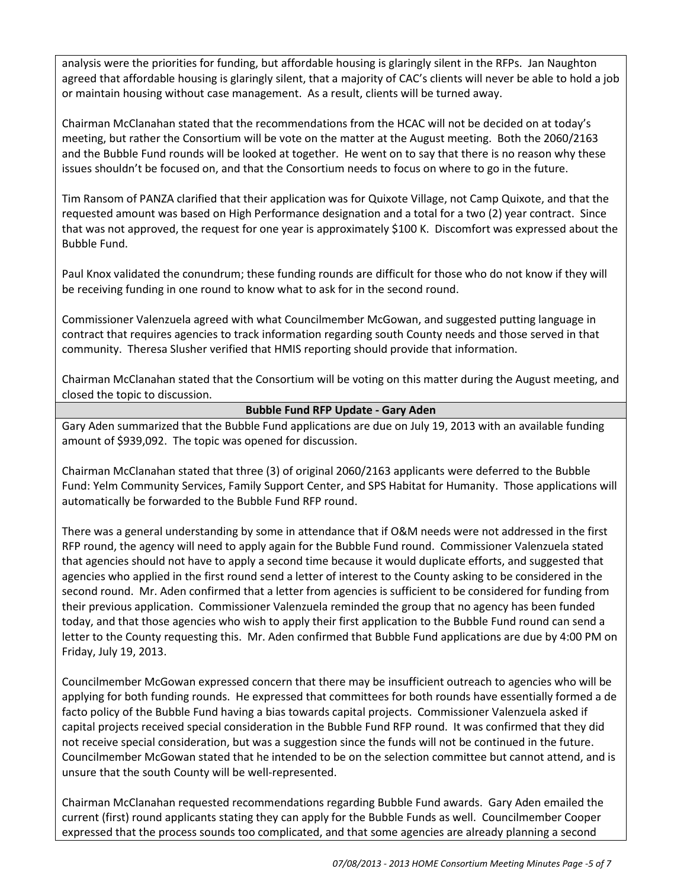analysis were the priorities for funding, but affordable housing is glaringly silent in the RFPs. Jan Naughton agreed that affordable housing is glaringly silent, that a majority of CAC's clients will never be able to hold a job or maintain housing without case management. As a result, clients will be turned away.

Chairman McClanahan stated that the recommendations from the HCAC will not be decided on at today's meeting, but rather the Consortium will be vote on the matter at the August meeting. Both the 2060/2163 and the Bubble Fund rounds will be looked at together. He went on to say that there is no reason why these issues shouldn't be focused on, and that the Consortium needs to focus on where to go in the future.

Tim Ransom of PANZA clarified that their application was for Quixote Village, not Camp Quixote, and that the requested amount was based on High Performance designation and a total for a two (2) year contract. Since that was not approved, the request for one year is approximately \$100 K. Discomfort was expressed about the Bubble Fund.

Paul Knox validated the conundrum; these funding rounds are difficult for those who do not know if they will be receiving funding in one round to know what to ask for in the second round.

Commissioner Valenzuela agreed with what Councilmember McGowan, and suggested putting language in contract that requires agencies to track information regarding south County needs and those served in that community. Theresa Slusher verified that HMIS reporting should provide that information.

Chairman McClanahan stated that the Consortium will be voting on this matter during the August meeting, and closed the topic to discussion.

## **Bubble Fund RFP Update - Gary Aden**

Gary Aden summarized that the Bubble Fund applications are due on July 19, 2013 with an available funding amount of \$939,092. The topic was opened for discussion.

Chairman McClanahan stated that three (3) of original 2060/2163 applicants were deferred to the Bubble Fund: Yelm Community Services, Family Support Center, and SPS Habitat for Humanity. Those applications will automatically be forwarded to the Bubble Fund RFP round.

There was a general understanding by some in attendance that if O&M needs were not addressed in the first RFP round, the agency will need to apply again for the Bubble Fund round. Commissioner Valenzuela stated that agencies should not have to apply a second time because it would duplicate efforts, and suggested that agencies who applied in the first round send a letter of interest to the County asking to be considered in the second round. Mr. Aden confirmed that a letter from agencies is sufficient to be considered for funding from their previous application. Commissioner Valenzuela reminded the group that no agency has been funded today, and that those agencies who wish to apply their first application to the Bubble Fund round can send a letter to the County requesting this. Mr. Aden confirmed that Bubble Fund applications are due by 4:00 PM on Friday, July 19, 2013.

Councilmember McGowan expressed concern that there may be insufficient outreach to agencies who will be applying for both funding rounds. He expressed that committees for both rounds have essentially formed a de facto policy of the Bubble Fund having a bias towards capital projects. Commissioner Valenzuela asked if capital projects received special consideration in the Bubble Fund RFP round. It was confirmed that they did not receive special consideration, but was a suggestion since the funds will not be continued in the future. Councilmember McGowan stated that he intended to be on the selection committee but cannot attend, and is unsure that the south County will be well-represented.

Chairman McClanahan requested recommendations regarding Bubble Fund awards. Gary Aden emailed the current (first) round applicants stating they can apply for the Bubble Funds as well. Councilmember Cooper expressed that the process sounds too complicated, and that some agencies are already planning a second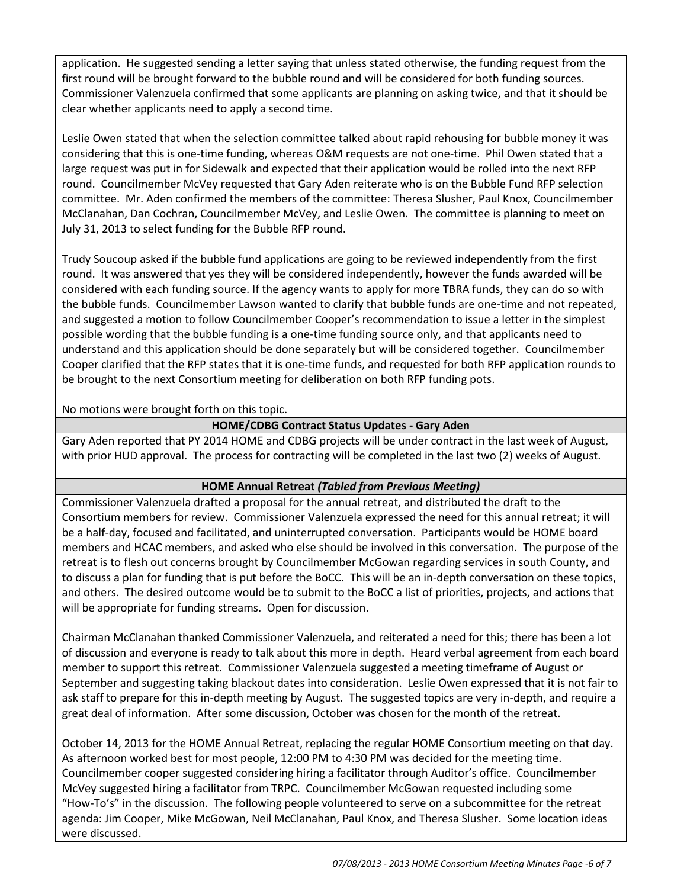application. He suggested sending a letter saying that unless stated otherwise, the funding request from the first round will be brought forward to the bubble round and will be considered for both funding sources. Commissioner Valenzuela confirmed that some applicants are planning on asking twice, and that it should be clear whether applicants need to apply a second time.

Leslie Owen stated that when the selection committee talked about rapid rehousing for bubble money it was considering that this is one-time funding, whereas O&M requests are not one-time. Phil Owen stated that a large request was put in for Sidewalk and expected that their application would be rolled into the next RFP round. Councilmember McVey requested that Gary Aden reiterate who is on the Bubble Fund RFP selection committee. Mr. Aden confirmed the members of the committee: Theresa Slusher, Paul Knox, Councilmember McClanahan, Dan Cochran, Councilmember McVey, and Leslie Owen. The committee is planning to meet on July 31, 2013 to select funding for the Bubble RFP round.

Trudy Soucoup asked if the bubble fund applications are going to be reviewed independently from the first round. It was answered that yes they will be considered independently, however the funds awarded will be considered with each funding source. If the agency wants to apply for more TBRA funds, they can do so with the bubble funds. Councilmember Lawson wanted to clarify that bubble funds are one-time and not repeated, and suggested a motion to follow Councilmember Cooper's recommendation to issue a letter in the simplest possible wording that the bubble funding is a one-time funding source only, and that applicants need to understand and this application should be done separately but will be considered together. Councilmember Cooper clarified that the RFP states that it is one-time funds, and requested for both RFP application rounds to be brought to the next Consortium meeting for deliberation on both RFP funding pots.

No motions were brought forth on this topic.

# **HOME/CDBG Contract Status Updates - Gary Aden**

Gary Aden reported that PY 2014 HOME and CDBG projects will be under contract in the last week of August, with prior HUD approval. The process for contracting will be completed in the last two (2) weeks of August.

# **HOME Annual Retreat** *(Tabled from Previous Meeting)*

Commissioner Valenzuela drafted a proposal for the annual retreat, and distributed the draft to the Consortium members for review. Commissioner Valenzuela expressed the need for this annual retreat; it will be a half-day, focused and facilitated, and uninterrupted conversation. Participants would be HOME board members and HCAC members, and asked who else should be involved in this conversation. The purpose of the retreat is to flesh out concerns brought by Councilmember McGowan regarding services in south County, and to discuss a plan for funding that is put before the BoCC. This will be an in-depth conversation on these topics, and others. The desired outcome would be to submit to the BoCC a list of priorities, projects, and actions that will be appropriate for funding streams. Open for discussion.

Chairman McClanahan thanked Commissioner Valenzuela, and reiterated a need for this; there has been a lot of discussion and everyone is ready to talk about this more in depth. Heard verbal agreement from each board member to support this retreat. Commissioner Valenzuela suggested a meeting timeframe of August or September and suggesting taking blackout dates into consideration. Leslie Owen expressed that it is not fair to ask staff to prepare for this in-depth meeting by August. The suggested topics are very in-depth, and require a great deal of information. After some discussion, October was chosen for the month of the retreat.

October 14, 2013 for the HOME Annual Retreat, replacing the regular HOME Consortium meeting on that day. As afternoon worked best for most people, 12:00 PM to 4:30 PM was decided for the meeting time. Councilmember cooper suggested considering hiring a facilitator through Auditor's office. Councilmember McVey suggested hiring a facilitator from TRPC. Councilmember McGowan requested including some "How-To's" in the discussion. The following people volunteered to serve on a subcommittee for the retreat agenda: Jim Cooper, Mike McGowan, Neil McClanahan, Paul Knox, and Theresa Slusher. Some location ideas were discussed.